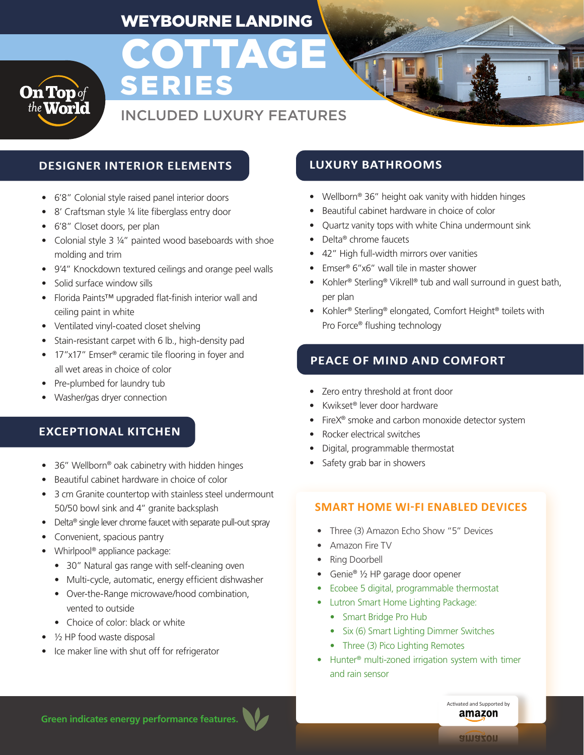# WEYBOURNE LANDING

**COTTAGE** 



# INCLUDED LUXURY FEATURES

## **DESIGNER INTERIOR ELEMENTS LUXURY BATHROOMS**

- 6'8" Colonial style raised panel interior doors
- 8' Craftsman style 1/4 lite fiberglass entry door
- 6'8" Closet doors, per plan
- Colonial style 3 ¼" painted wood baseboards with shoe molding and trim

SERIES

- 9'4" Knockdown textured ceilings and orange peel walls
- Solid surface window sills
- Florida Paints™ upgraded flat-finish interior wall and ceiling paint in white
- Ventilated vinyl-coated closet shelving
- Stain-resistant carpet with 6 lb., high-density pad
- 17"x17" Emser<sup>®</sup> ceramic tile flooring in foyer and all wet areas in choice of color
- Pre-plumbed for laundry tub
- Washer/gas dryer connection

#### **EXCEPTIONAL KITCHEN**

- 36" Wellborn® oak cabinetry with hidden hinges
- Beautiful cabinet hardware in choice of color
- 3 cm Granite countertop with stainless steel undermount 50/50 bowl sink and 4" granite backsplash
- Delta® single lever chrome faucet with separate pull-out spray
- Convenient, spacious pantry
- Whirlpool<sup>®</sup> appliance package:
	- 30" Natural gas range with self-cleaning oven
	- Multi-cycle, automatic, energy efficient dishwasher
	- Over-the-Range microwave/hood combination, vented to outside
	- Choice of color: black or white
- $\bullet$   $\frac{1}{2}$  HP food waste disposal
- Ice maker line with shut off for refrigerator

- Wellborn® 36" height oak vanity with hidden hinges
- Beautiful cabinet hardware in choice of color
- Quartz vanity tops with white China undermount sink
- Delta® chrome faucets
- 42" High full-width mirrors over vanities
- Emser® 6"x6" wall tile in master shower
- Kohler® Sterling® Vikrell® tub and wall surround in guest bath, per plan
- Kohler® Sterling® elongated, Comfort Height® toilets with Pro Force® flushing technology

### **PEACE OF MIND AND COMFORT**

- Zero entry threshold at front door
- Kwikset® lever door hardware
- FireX<sup>®</sup> smoke and carbon monoxide detector system
- Rocker electrical switches
- Digital, programmable thermostat
- Safety grab bar in showers

#### **SMART HOME WI-FI ENABLED DEVICES**

- Three (3) Amazon Echo Show "5" Devices
- Amazon Fire TV
- Ring Doorbell
- Genie® 1/2 HP garage door opener
- Ecobee 5 digital, programmable thermostat
- Lutron Smart Home Lighting Package:
	- Smart Bridge Pro Hub
	- Six (6) Smart Lighting Dimmer Switches
	- Three (3) Pico Lighting Remotes
- Hunter® multi-zoned irrigation system with timer and rain sensor

**Green indicates energy performance features.**

Activated and Supported by amazon

nozeule